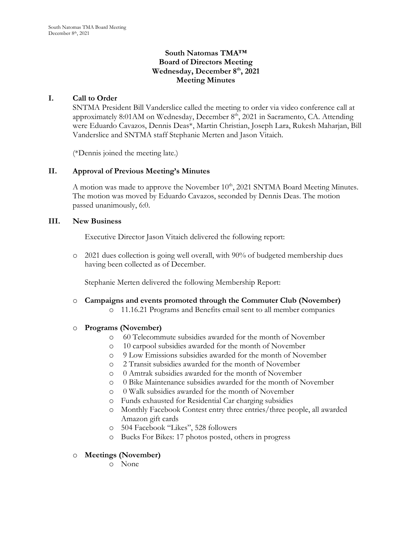# **South Natomas TMA™ Board of Directors Meeting Wednesday, December 8th, 2021 Meeting Minutes**

# **I. Call to Order**

SNTMA President Bill Vanderslice called the meeting to order via video conference call at approximately 8:01 AM on Wednesday, December 8<sup>th</sup>, 2021 in Sacramento, CA. Attending were Eduardo Cavazos, Dennis Deas\*, Martin Christian, Joseph Lara, Rukesh Maharjan, Bill Vanderslice and SNTMA staff Stephanie Merten and Jason Vitaich.

(\*Dennis joined the meeting late.)

# **II. Approval of Previous Meeting's Minutes**

A motion was made to approve the November 10<sup>th</sup>, 2021 SNTMA Board Meeting Minutes. The motion was moved by Eduardo Cavazos, seconded by Dennis Deas. The motion passed unanimously, 6:0.

### **III. New Business**

Executive Director Jason Vitaich delivered the following report:

o 2021 dues collection is going well overall, with 90% of budgeted membership dues having been collected as of December.

Stephanie Merten delivered the following Membership Report:

- o **Campaigns and events promoted through the Commuter Club (November)**
	- o 11.16.21 Programs and Benefits email sent to all member companies

# o **Programs (November)**

- o 60 Telecommute subsidies awarded for the month of November
- o 10 carpool subsidies awarded for the month of November
- o 9 Low Emissions subsidies awarded for the month of November
- o 2 Transit subsidies awarded for the month of November
- o 0 Amtrak subsidies awarded for the month of November
- o 0 Bike Maintenance subsidies awarded for the month of November
- o 0 Walk subsidies awarded for the month of November
- o Funds exhausted for Residential Car charging subsidies
- o Monthly Facebook Contest entry three entries/three people, all awarded Amazon gift cards
- o 504 Facebook "Likes", 528 followers
- o Bucks For Bikes: 17 photos posted, others in progress

### o **Meetings (November)**

o None